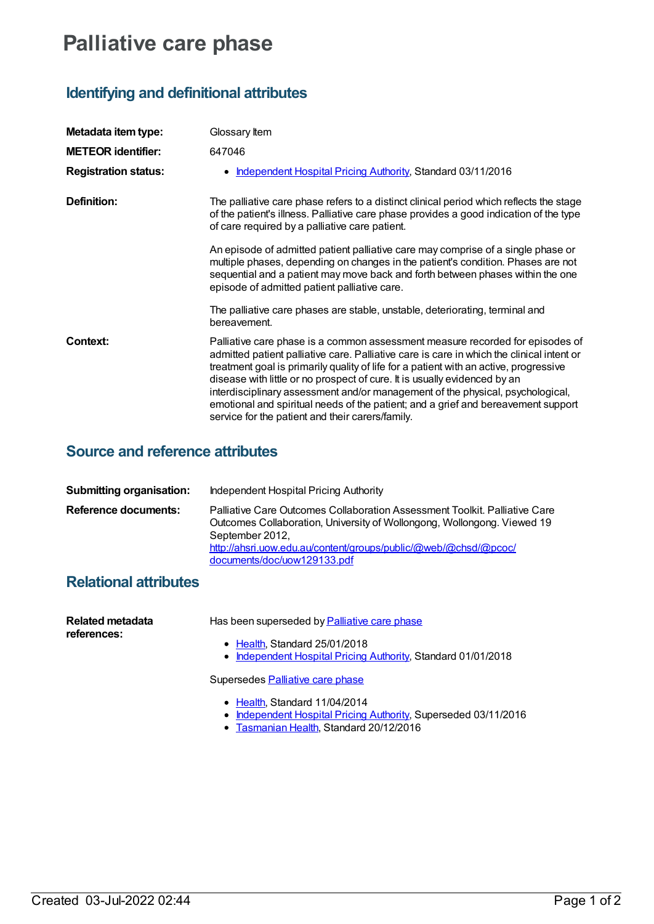# **Palliative care phase**

# **Identifying and definitional attributes**

| Metadata item type:         | Glossary Item                                                                                                                                                                                                                                                                                                                                                                                                                                                                                                                                                               |
|-----------------------------|-----------------------------------------------------------------------------------------------------------------------------------------------------------------------------------------------------------------------------------------------------------------------------------------------------------------------------------------------------------------------------------------------------------------------------------------------------------------------------------------------------------------------------------------------------------------------------|
| <b>METEOR identifier:</b>   | 647046                                                                                                                                                                                                                                                                                                                                                                                                                                                                                                                                                                      |
| <b>Registration status:</b> | Independent Hospital Pricing Authority, Standard 03/11/2016                                                                                                                                                                                                                                                                                                                                                                                                                                                                                                                 |
| Definition:                 | The palliative care phase refers to a distinct clinical period which reflects the stage<br>of the patient's illness. Palliative care phase provides a good indication of the type<br>of care required by a palliative care patient.                                                                                                                                                                                                                                                                                                                                         |
|                             | An episode of admitted patient palliative care may comprise of a single phase or<br>multiple phases, depending on changes in the patient's condition. Phases are not<br>sequential and a patient may move back and forth between phases within the one<br>episode of admitted patient palliative care.                                                                                                                                                                                                                                                                      |
|                             | The palliative care phases are stable, unstable, deteriorating, terminal and<br>bereavement.                                                                                                                                                                                                                                                                                                                                                                                                                                                                                |
| Context:                    | Palliative care phase is a common assessment measure recorded for episodes of<br>admitted patient palliative care. Palliative care is care in which the clinical intent or<br>treatment goal is primarily quality of life for a patient with an active, progressive<br>disease with little or no prospect of cure. It is usually evidenced by an<br>interdisciplinary assessment and/or management of the physical, psychological,<br>emotional and spiritual needs of the patient; and a grief and bereavement support<br>service for the patient and their carers/family. |

### **Source and reference attributes**

| <b>Submitting organisation:</b> | Independent Hospital Pricing Authority                                                                                                                                                                                                                                     |
|---------------------------------|----------------------------------------------------------------------------------------------------------------------------------------------------------------------------------------------------------------------------------------------------------------------------|
| Reference documents:            | Palliative Care Outcomes Collaboration Assessment Toolkit. Palliative Care<br>Outcomes Collaboration, University of Wollongong, Wollongong. Viewed 19<br>September 2012,<br>http://ahsri.uow.edu.au/content/groups/public/@web/@chsd/@pcoc/<br>documents/doc/uow129133.pdf |

## **Relational attributes**

| Related metadata<br>references: | Has been superseded by Palliative care phase                                                                                                |
|---------------------------------|---------------------------------------------------------------------------------------------------------------------------------------------|
|                                 | • Health, Standard 25/01/2018<br>• Independent Hospital Pricing Authority, Standard 01/01/2018                                              |
|                                 | Supersedes Palliative care phase                                                                                                            |
|                                 | • Health, Standard 11/04/2014<br>• Independent Hospital Pricing Authority, Superseded 03/11/2016<br>• Tasmanian Health, Standard 20/12/2016 |